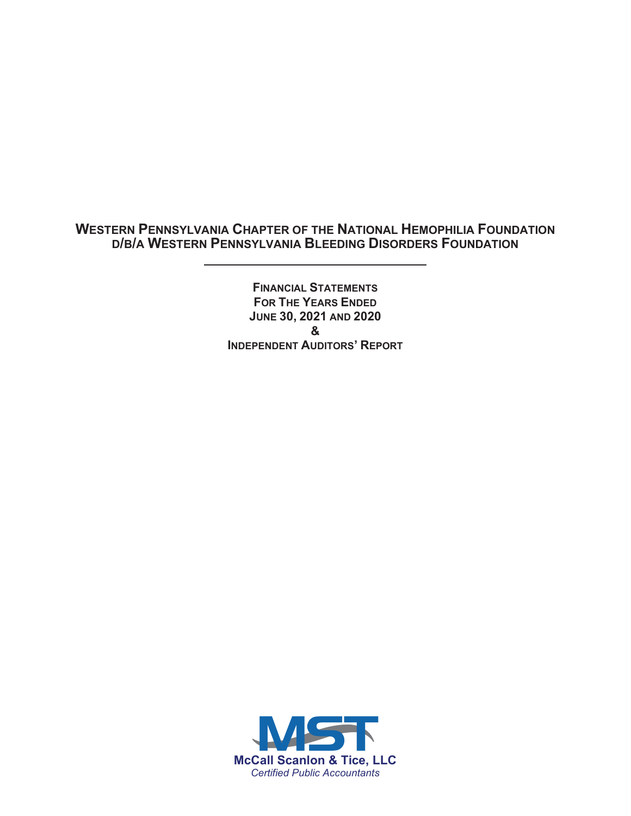# **WESTERN PENNSYLVANIA CHAPTER OF THE NATIONAL HEMOPHILIA FOUNDATION D/B/A WESTERN PENNSYLVANIA BLEEDING DISORDERS FOUNDATION**

**FINANCIAL STATEMENTS FOR THE YEARS ENDED JUNE 30, 2021 AND 2020 & INDEPENDENT AUDITORS' REPORT**

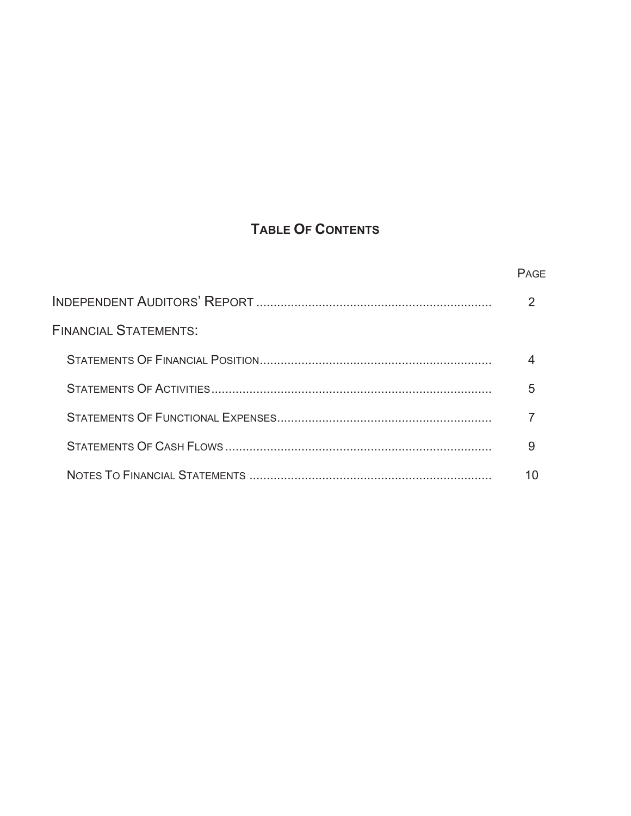# **TABLE OF CONTENTS**

|                              | PAGE |
|------------------------------|------|
|                              |      |
| <b>FINANCIAL STATEMENTS:</b> |      |
|                              |      |
|                              |      |
|                              |      |
|                              | 9    |
|                              |      |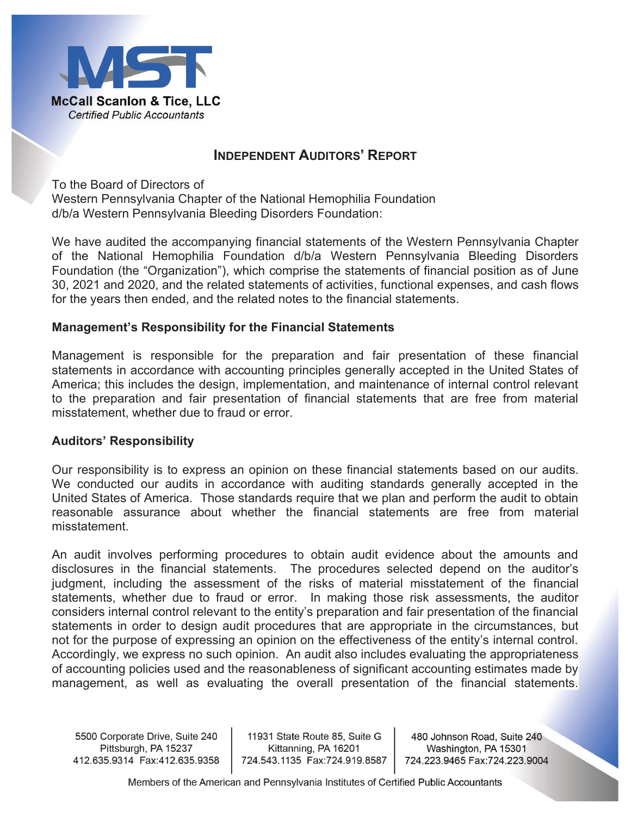

# **INDEPENDENT AUDITORS' REPORT**

To the Board of Directors of Western Pennsylvania Chapter of the National Hemophilia Foundation d/b/a Western Pennsylvania Bleeding Disorders Foundation:

We have audited the accompanying financial statements of the Western Pennsylvania Chapter of the National Hemophilia Foundation d/b/a Western Pennsylvania Bleeding Disorders Foundation (the "Organization"), which comprise the statements of financial position as of June 30, 2021 and 2020, and the related statements of activities, functional expenses, and cash flows for the years then ended, and the related notes to the financial statements.

### **Management's Responsibility for the Financial Statements**

Management is responsible for the preparation and fair presentation of these financial statements in accordance with accounting principles generally accepted in the United States of America; this includes the design, implementation, and maintenance of internal control relevant to the preparation and fair presentation of financial statements that are free from material misstatement, whether due to fraud or error.

### **Auditors' Responsibility**

Our responsibility is to express an opinion on these financial statements based on our audits. We conducted our audits in accordance with auditing standards generally accepted in the United States of America. Those standards require that we plan and perform the audit to obtain reasonable assurance about whether the financial statements are free from material misstatement.

An audit involves performing procedures to obtain audit evidence about the amounts and disclosures in the financial statements. The procedures selected depend on the auditor's judgment, including the assessment of the risks of material misstatement of the financial statements, whether due to fraud or error. In making those risk assessments, the auditor considers internal control relevant to the entity's preparation and fair presentation of the financial statements in order to design audit procedures that are appropriate in the circumstances, but not for the purpose of expressing an opinion on the effectiveness of the entity's internal control. Accordingly, we express no such opinion. An audit also includes evaluating the appropriateness of accounting policies used and the reasonableness of significant accounting estimates made by management, as well as evaluating the overall presentation of the financial statements.

5500 Corporate Drive, Suite 240 Pittsburgh, PA 15237 

11931 State Route 85, Suite G Kittanning, PA 16201 

480 Johnson Road, Suite 240 Washington, PA 15301 724.223.9465 Fax:724.223.9004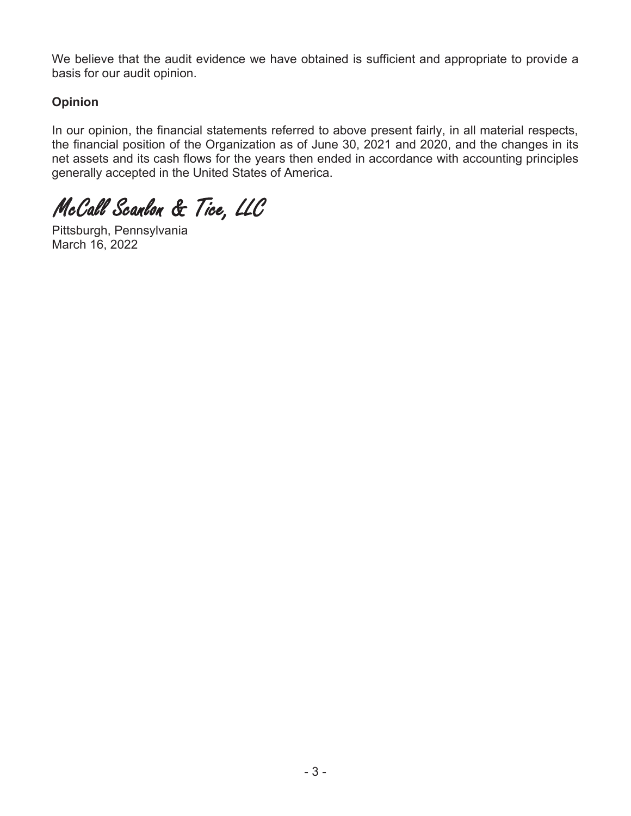We believe that the audit evidence we have obtained is sufficient and appropriate to provide a basis for our audit opinion.

# **Opinion**

In our opinion, the financial statements referred to above present fairly, in all material respects, the financial position of the Organization as of June 30, 2021 and 2020, and the changes in its net assets and its cash flows for the years then ended in accordance with accounting principles generally accepted in the United States of America.

*McCall Scanlon & Tice, LLC* 

Pittsburgh, Pennsylvania March 16, 2022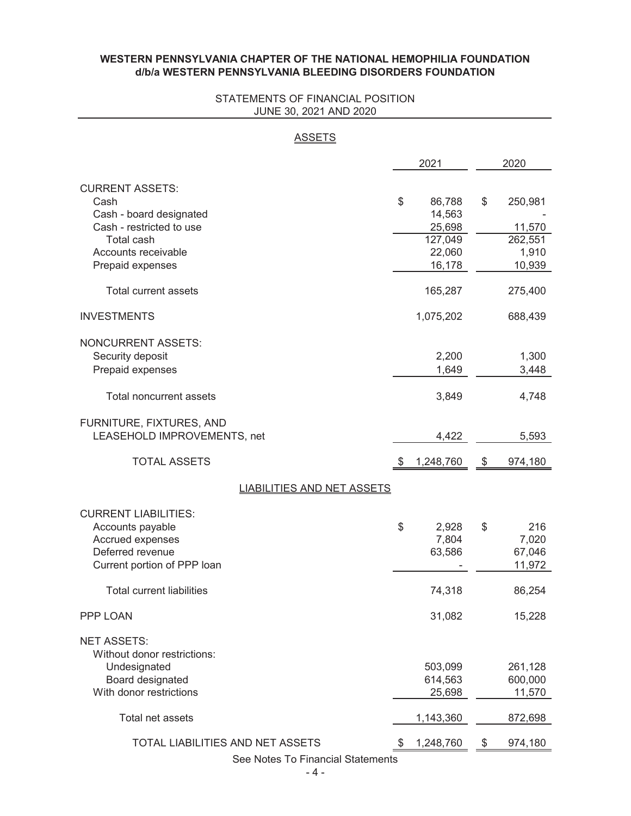#### **WESTERN PENNSYLVANIA CHAPTER OF THE NATIONAL HEMOPHILIA FOUNDATION d/b/a WESTERN PENNSYLVANIA BLEEDING DISORDERS FOUNDATION**

#### STATEMENTS OF FINANCIAL POSITION JUNE 30, 2021 AND 2020

2021 2020 CURRENT ASSETS: Cash 86,788 \$ 250,981 Cash - board designated 14,563 - Cash - restricted to use 25,698 25,698 11,570 Total cash 127,049 262,551 Accounts receivable 22,060 and 1,910 Prepaid expenses and the control of the control of the control of the control of the control of the control of the control of the control of the control of the control of the control of the control of the control of the co Total current assets 165,287 275,400 INVESTMENTS 1,075,202 688,439 NONCURRENT ASSETS: Security deposit 1,300 Prepaid expenses 3,448 Total noncurrent assets 3,849 4,748 FURNITURE, FIXTURES, AND LEASEHOLD IMPROVEMENTS, net 4,422 5,593 TOTAL ASSETS 6 1,248,760 5 974,180 CURRENT LIABILITIES: Accounts payable 2,928 \$ 216 Accrued expenses 7,804 7,020 Deferred revenue 63,586 67,046 Current portion of PPP loan and the set of the set of the set of the set of the set of the set of the set of the set of the set of the set of the set of the set of the set of the set of the set of the set of the set of the Total current liabilities **86,254** 86,254 PPP LOAN 31,082 15,228 NET ASSETS: Without donor restrictions: Undesignated 503,099 261,128 Board designated 614,563 600,000 With donor restrictions and the control of the control of the 25,698 and 11,570 minutes of the control of the control of the control of the control of the control of the control of the control of the control of the control Total net assets 1,143,360 872,698 **ASSETS** LIABILITIES AND NET ASSETS

> TOTAL LIABILITIES AND NET ASSETS  $$ 1,248,760$   $$ 974,180$ See Notes To Financial Statements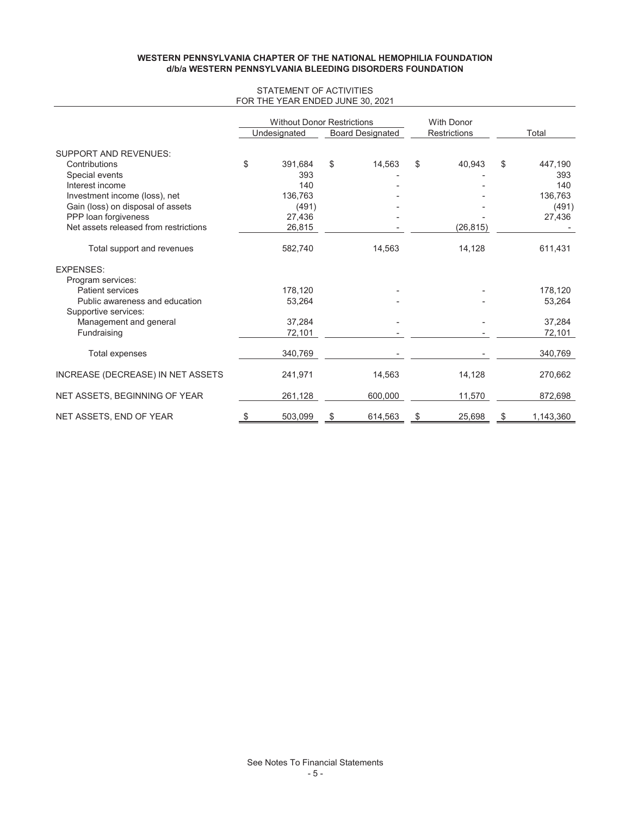#### **d/b/a WESTERN PENNSYLVANIA BLEEDING DISORDERS FOUNDATION WESTERN PENNSYLVANIA CHAPTER OF THE NATIONAL HEMOPHILIA FOUNDATION**

#### STATEMENT OF ACTIVITIES FOR THE YEAR ENDED JUNE 30, 2021

|                                       | <b>Without Donor Restrictions</b> |                         | <b>With Donor</b>   |                 |
|---------------------------------------|-----------------------------------|-------------------------|---------------------|-----------------|
|                                       | Undesignated                      | <b>Board Designated</b> | <b>Restrictions</b> | Total           |
| <b>SUPPORT AND REVENUES:</b>          |                                   |                         |                     |                 |
| Contributions                         | \$<br>391,684                     | \$<br>14,563            | \$<br>40,943        | \$<br>447,190   |
| Special events                        | 393                               |                         |                     | 393             |
| Interest income                       | 140                               |                         |                     | 140             |
| Investment income (loss), net         | 136.763                           |                         |                     | 136,763         |
| Gain (loss) on disposal of assets     | (491)                             |                         |                     | (491)           |
| PPP loan forgiveness                  | 27,436                            |                         |                     | 27,436          |
| Net assets released from restrictions | 26,815                            |                         | (26, 815)           |                 |
| Total support and revenues            | 582,740                           | 14,563                  | 14,128              | 611,431         |
| <b>EXPENSES:</b>                      |                                   |                         |                     |                 |
| Program services:                     |                                   |                         |                     |                 |
| <b>Patient services</b>               | 178.120                           |                         |                     | 178,120         |
| Public awareness and education        | 53,264                            |                         |                     | 53,264          |
| Supportive services:                  |                                   |                         |                     |                 |
| Management and general                | 37,284                            |                         |                     | 37,284          |
| Fundraising                           | 72,101                            |                         |                     | 72,101          |
| <b>Total expenses</b>                 | 340,769                           |                         |                     | 340,769         |
| INCREASE (DECREASE) IN NET ASSETS     | 241,971                           | 14,563                  | 14,128              | 270,662         |
| NET ASSETS, BEGINNING OF YEAR         | 261,128                           | 600,000                 | 11,570              | 872,698         |
| NET ASSETS, END OF YEAR               | \$<br>503.099                     | \$<br>614.563           | \$<br>25.698        | \$<br>1,143,360 |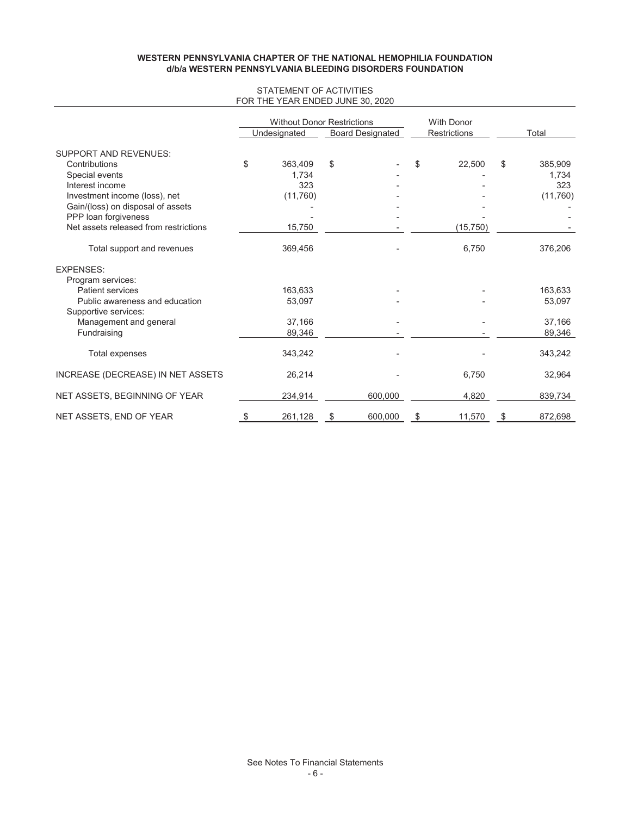#### **d/b/a WESTERN PENNSYLVANIA BLEEDING DISORDERS FOUNDATION WESTERN PENNSYLVANIA CHAPTER OF THE NATIONAL HEMOPHILIA FOUNDATION**

#### STATEMENT OF ACTIVITIES FOR THE YEAR ENDED JUNE 30, 2020

|                                       | <b>Without Donor Restrictions</b> |                         | <b>With Donor</b>   |               |
|---------------------------------------|-----------------------------------|-------------------------|---------------------|---------------|
|                                       | Undesignated                      | <b>Board Designated</b> | <b>Restrictions</b> | Total         |
| <b>SUPPORT AND REVENUES:</b>          |                                   |                         |                     |               |
| Contributions                         | \$<br>363,409                     | \$                      | \$<br>22,500        | \$<br>385,909 |
| Special events                        | 1,734                             |                         |                     | 1,734         |
| Interest income                       | 323                               |                         |                     | 323           |
| Investment income (loss), net         | (11, 760)                         |                         |                     | (11, 760)     |
| Gain/(loss) on disposal of assets     |                                   |                         |                     |               |
| PPP loan forgiveness                  |                                   |                         |                     |               |
| Net assets released from restrictions | 15,750                            |                         | (15, 750)           |               |
| Total support and revenues            | 369,456                           |                         | 6,750               | 376,206       |
| <b>EXPENSES:</b>                      |                                   |                         |                     |               |
| Program services:                     |                                   |                         |                     |               |
| <b>Patient services</b>               | 163,633                           |                         |                     | 163,633       |
| Public awareness and education        | 53,097                            |                         |                     | 53,097        |
| Supportive services:                  |                                   |                         |                     |               |
| Management and general                | 37.166                            |                         |                     | 37.166        |
| Fundraising                           | 89,346                            |                         |                     | 89,346        |
| Total expenses                        | 343,242                           |                         |                     | 343,242       |
| INCREASE (DECREASE) IN NET ASSETS     | 26,214                            |                         | 6,750               | 32,964        |
| NET ASSETS, BEGINNING OF YEAR         | 234,914                           | 600,000                 | 4,820               | 839,734       |
| NET ASSETS, END OF YEAR               | \$<br>261,128                     | \$<br>600.000           | \$<br>11,570        | \$<br>872.698 |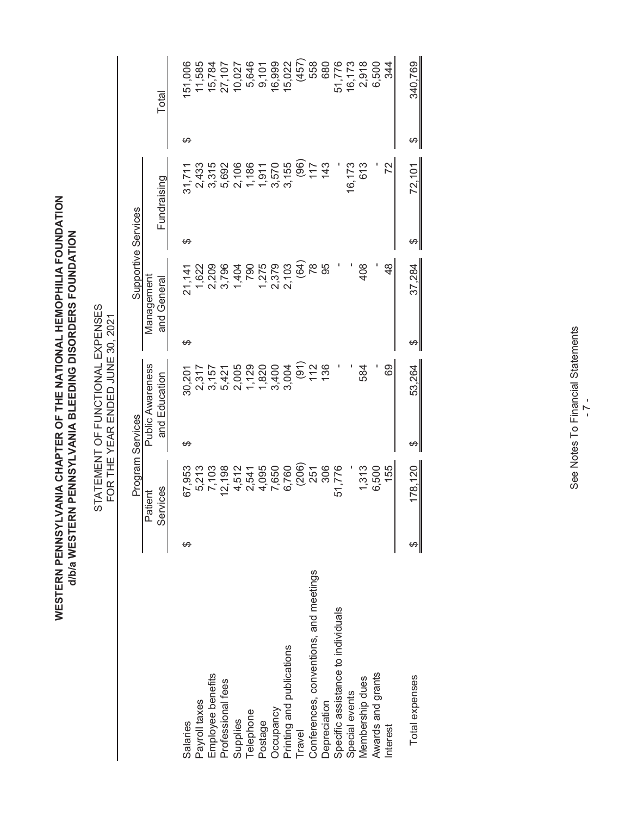WESTERN PENNSYLVANIA CHAPTER OF THE NATIONAL HEMOPHILIA FOUNDATION<br>d/b/a western pennsylvania bleeding disorders foundation **WESTERN PENNSYLVANIA CHAPTER OF THE NATIONAL HEMOPHILIA FOUNDATION d/b/a WESTERN PENNSYLVANIA BLEEDING DISORDERS FOUNDATION**

STATEMENT OF FUNCTIONAL EXPENSES<br>FOR THE YEAR ENDED JUNE 30, 2021 STATEMENT OF FUNCTIONAL EXPENSES FOR THE YEAR ENDED JUNE 30, 2021

|                                        |   | Program Services    |   |                                          |   | Supportive Services       |   |                                          |   |                |
|----------------------------------------|---|---------------------|---|------------------------------------------|---|---------------------------|---|------------------------------------------|---|----------------|
|                                        |   | Services<br>Patient |   | <b>Public Awareness</b><br>and Education |   | Management<br>and General |   | Fundraising                              |   | Total          |
| Salaries                               | ക | 67,953              | ക | 30,201                                   | ക | 21,141                    | ക | 31,711                                   | ക | 151,006        |
| Payroll taxes                          |   | 5,213               |   |                                          |   | 1,622                     |   | 2,433                                    |   | 11,585         |
| Employee benefits                      |   | 7,103               |   | 2,317<br>3,157<br>9,421<br>2,005         |   | 2,209                     |   | 3,315                                    |   | 15,784         |
| Professional fees                      |   | 12,198              |   |                                          |   | 3,796                     |   | 5,692                                    |   | 27,107         |
| Supplies                               |   | 4,512               |   |                                          |   | 1,404                     |   | 2,106                                    |   | 10,027         |
| Telephone                              |   | 2,541               |   | 1,129                                    |   | 790                       |   |                                          |   | 5,646          |
| Postage                                |   | 4,095               |   |                                          |   | 1,275                     |   | $7,986$<br>$7,970$<br>$7,570$<br>$3,155$ |   | 9,101          |
| Occupancy                              |   |                     |   | 1,820<br>3,400                           |   | 2,379                     |   |                                          |   | 16,999         |
| Printing and publications              |   | 7,650<br>6,760      |   | 3,004                                    |   | 2,103                     |   |                                          |   | 15,022         |
| Travel                                 |   |                     |   | (91)                                     |   | (64)                      |   | $\left( \frac{96}{2} \right)$            |   |                |
| Conferences, conventions, and meetings |   | $(206)$<br>$251$    |   | 112                                      |   | $\frac{8}{2}$             |   | 117                                      |   | $(457)$<br>558 |
| Depreciation                           |   | 306                 |   | 136                                      |   | 95                        |   | 143                                      |   | 680            |
| Specific assistance to individuals     |   | 51,776              |   |                                          |   |                           |   |                                          |   | 51,776         |
| Special events                         |   |                     |   |                                          |   |                           |   | 16,173                                   |   | 16,173         |
| Membership dues                        |   | 1,313               |   | 584                                      |   | 408                       |   | 613                                      |   | 2,918          |
| Awards and grants                      |   | 6,500               |   |                                          |   |                           |   |                                          |   | 6,500          |
| <b>Interest</b>                        |   | 155                 |   | 69                                       |   | $\frac{8}{4}$             |   | 22                                       |   | 344            |
| Total expenses                         |   | 178,120             | ക | 53,264                                   | ക | 37,284                    |   | 72,101                                   |   | 340,769        |

See Notes To Financial Statements See Notes To Financial Statements - 7 -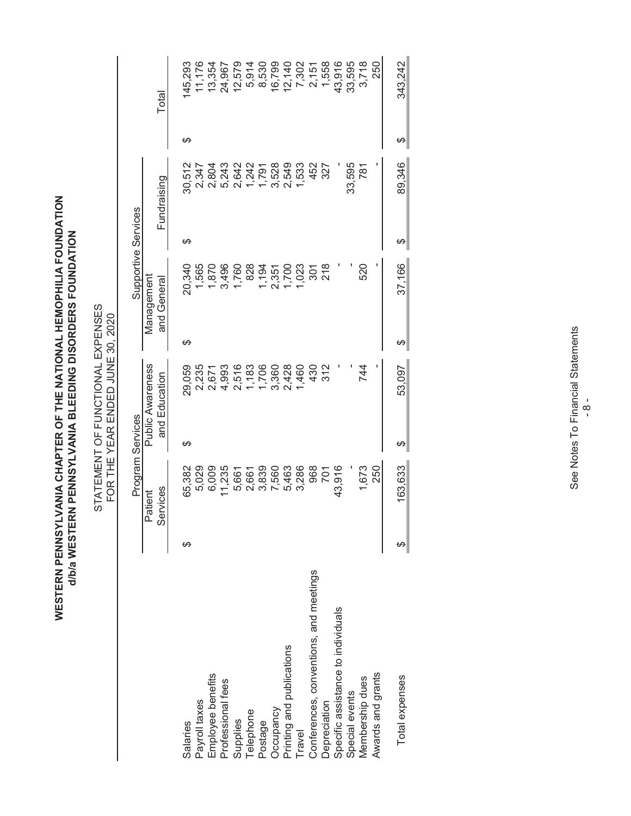WESTERN PENNSYLVANIA CHAPTER OF THE NATIONAL HEMOPHILIA FOUNDATION<br>d/b/a western pennsylvania bleeding disorders foundation **WESTERN PENNSYLVANIA CHAPTER OF THE NATIONAL HEMOPHILIA FOUNDATION d/b/a WESTERN PENNSYLVANIA BLEEDING DISORDERS FOUNDATION**

STATEMENT OF FUNCTIONAL EXPENSES<br>FOR THE YEAR ENDED JUNE 30, 2020 STATEMENT OF FUNCTIONAL EXPENSES FOR THE YEAR ENDED JUNE 30, 2020

|                                        |   | Program Services |   |                         |   | Supportive Services |   |             |              |         |
|----------------------------------------|---|------------------|---|-------------------------|---|---------------------|---|-------------|--------------|---------|
|                                        |   | Patient          |   | <b>Public Awareness</b> |   | Management          |   |             |              |         |
|                                        |   | Services         |   | and Education           |   | and General         |   | Fundraising |              | Total   |
| Salaries                               | ക | 65,382           | ക | 29,059                  | ക | 20,340              | ക | 30,512      | ക            | 145,293 |
| Payroll taxes                          |   | 5,029            |   | 2,235                   |   | 1,565               |   | 2,347       |              | 11,176  |
| Employee benefits                      |   | 6,009            |   | 2,671                   |   | 1,870               |   | 2,804       |              | 13,354  |
| Professional fees                      |   | 1,235            |   | 4,993                   |   | 3,496               |   | 5,243       |              | 24,967  |
| Supplies                               |   | 5,661            |   | 2,516                   |   | 1,760               |   | 2,642       |              | 12,579  |
| <b>Telephone</b>                       |   | 2,661            |   | 1,183                   |   | 828                 |   | 1,242       |              | 5,914   |
| Postage                                |   | 3,839            |   | 1,706                   |   |                     |   | 1,791       |              | 8,530   |
| Occupancy                              |   | 7,560            |   | 3,360                   |   | 1,194<br>2,351      |   | 3,528       |              | 16,799  |
|                                        |   | 5,463            |   | 2,428                   |   | 1,700               |   | 2,549       |              | 12,140  |
| Printing and publications<br>Travel    |   | 3,286            |   | 1,460                   |   | 1,023               |   | 1,533       |              | 7,302   |
| Conferences, conventions, and meetings |   | 968              |   | 430                     |   | 301                 |   | 452         |              | 2,151   |
| Depreciation                           |   | 701              |   | 312                     |   | $\frac{8}{218}$     |   | 327         |              | 1,558   |
| Specific assistance to individuals     |   | 43,916           |   |                         |   |                     |   |             |              | 43,916  |
| Special events                         |   |                  |   |                         |   |                     |   | 33,595      |              | 33,595  |
| Membership dues                        |   | 1,673            |   | 744                     |   | 520                 |   | 781         |              | 3,718   |
| Awards and grants                      |   | 250              |   |                         |   |                     |   |             |              | 250     |
| Total expenses                         |   | 163,633          |   | 53,097                  |   | 37,166              |   | 89,346      | <del>ഗ</del> | 343,242 |

See Notes To Financial Statements See Notes To Financial Statements  $-8 -$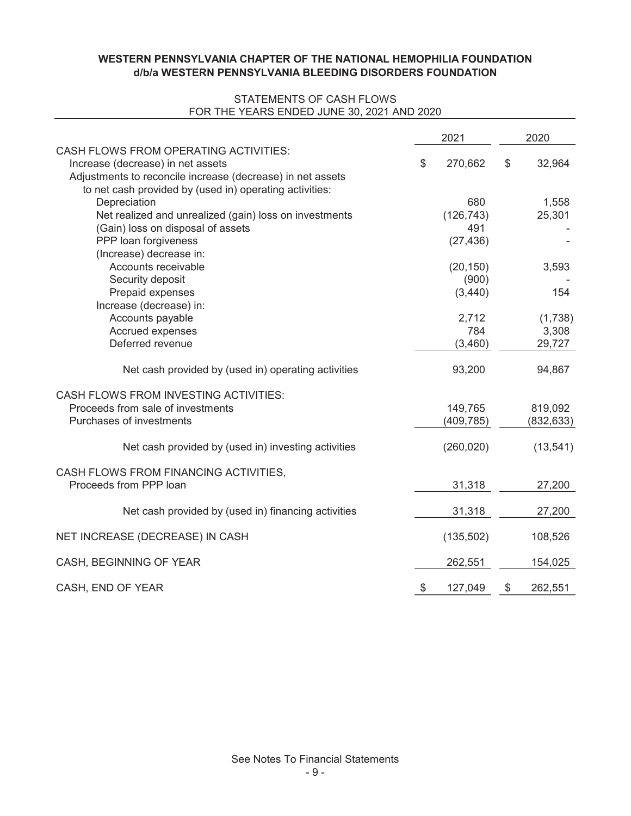### **d/b/a WESTERN PENNSYLVANIA BLEEDING DISORDERS FOUNDATION WESTERN PENNSYLVANIA CHAPTER OF THE NATIONAL HEMOPHILIA FOUNDATION**

#### STATEMENTS OF CASH FLOWS FOR THE YEARS ENDED JUNE 30, 2021 AND 2020

|                                                                                                                                                 | 2021                    | 2020                       |
|-------------------------------------------------------------------------------------------------------------------------------------------------|-------------------------|----------------------------|
| <b>CASH FLOWS FROM OPERATING ACTIVITIES:</b><br>Increase (decrease) in net assets<br>Adjustments to reconcile increase (decrease) in net assets | \$<br>270,662           | \$<br>32,964               |
| to net cash provided by (used in) operating activities:<br>Depreciation<br>Net realized and unrealized (gain) loss on investments               | 680<br>(126, 743)       | 1,558<br>25,301            |
| (Gain) loss on disposal of assets<br>PPP loan forgiveness                                                                                       | 491<br>(27, 436)        |                            |
| (Increase) decrease in:<br>Accounts receivable<br>Security deposit                                                                              | (20, 150)<br>(900)      | 3,593                      |
| Prepaid expenses<br>Increase (decrease) in:                                                                                                     | (3,440)                 | 154                        |
| Accounts payable<br>Accrued expenses<br>Deferred revenue                                                                                        | 2,712<br>784<br>(3,460) | (1,738)<br>3,308<br>29,727 |
| Net cash provided by (used in) operating activities                                                                                             | 93,200                  | 94,867                     |
| <b>CASH FLOWS FROM INVESTING ACTIVITIES:</b><br>Proceeds from sale of investments<br>Purchases of investments                                   | 149,765<br>(409, 785)   | 819,092<br>(832, 633)      |
| Net cash provided by (used in) investing activities                                                                                             | (260, 020)              | (13, 541)                  |
| CASH FLOWS FROM FINANCING ACTIVITIES,<br>Proceeds from PPP loan                                                                                 | 31,318                  | 27,200                     |
| Net cash provided by (used in) financing activities                                                                                             | 31,318                  | 27,200                     |
| NET INCREASE (DECREASE) IN CASH                                                                                                                 | (135, 502)              | 108,526                    |
| CASH, BEGINNING OF YEAR                                                                                                                         | 262,551                 | 154,025                    |
| CASH, END OF YEAR                                                                                                                               | \$<br>127,049           | \$<br>262,551              |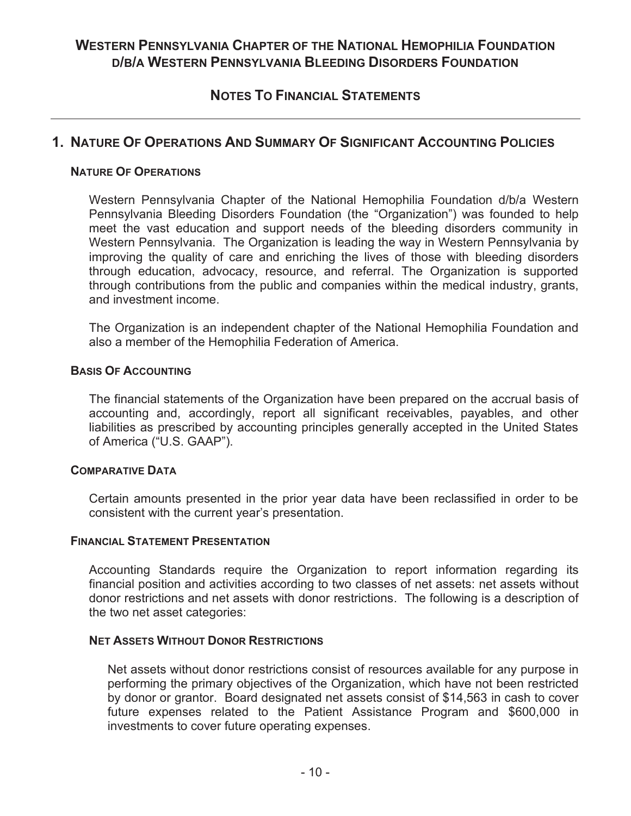# **WESTERN PENNSYLVANIA CHAPTER OF THE NATIONAL HEMOPHILIA FOUNDATION D/B/A WESTERN PENNSYLVANIA BLEEDING DISORDERS FOUNDATION**

# **NOTES TO FINANCIAL STATEMENTS**

# **1. NATURE OF OPERATIONS AND SUMMARY OF SIGNIFICANT ACCOUNTING POLICIES**

### **NATURE OF OPERATIONS**

Western Pennsylvania Chapter of the National Hemophilia Foundation d/b/a Western Pennsylvania Bleeding Disorders Foundation (the "Organization") was founded to help meet the vast education and support needs of the bleeding disorders community in Western Pennsylvania. The Organization is leading the way in Western Pennsylvania by improving the quality of care and enriching the lives of those with bleeding disorders through education, advocacy, resource, and referral. The Organization is supported through contributions from the public and companies within the medical industry, grants, and investment income.

The Organization is an independent chapter of the National Hemophilia Foundation and also a member of the Hemophilia Federation of America.

### **BASIS OF ACCOUNTING**

The financial statements of the Organization have been prepared on the accrual basis of accounting and, accordingly, report all significant receivables, payables, and other liabilities as prescribed by accounting principles generally accepted in the United States of America ("U.S. GAAP").

### **COMPARATIVE DATA**

Certain amounts presented in the prior year data have been reclassified in order to be consistent with the current year's presentation.

### **FINANCIAL STATEMENT PRESENTATION**

Accounting Standards require the Organization to report information regarding its financial position and activities according to two classes of net assets: net assets without donor restrictions and net assets with donor restrictions. The following is a description of the two net asset categories:

### **NET ASSETS WITHOUT DONOR RESTRICTIONS**

Net assets without donor restrictions consist of resources available for any purpose in performing the primary objectives of the Organization, which have not been restricted by donor or grantor. Board designated net assets consist of \$14,563 in cash to cover future expenses related to the Patient Assistance Program and \$600,000 in investments to cover future operating expenses.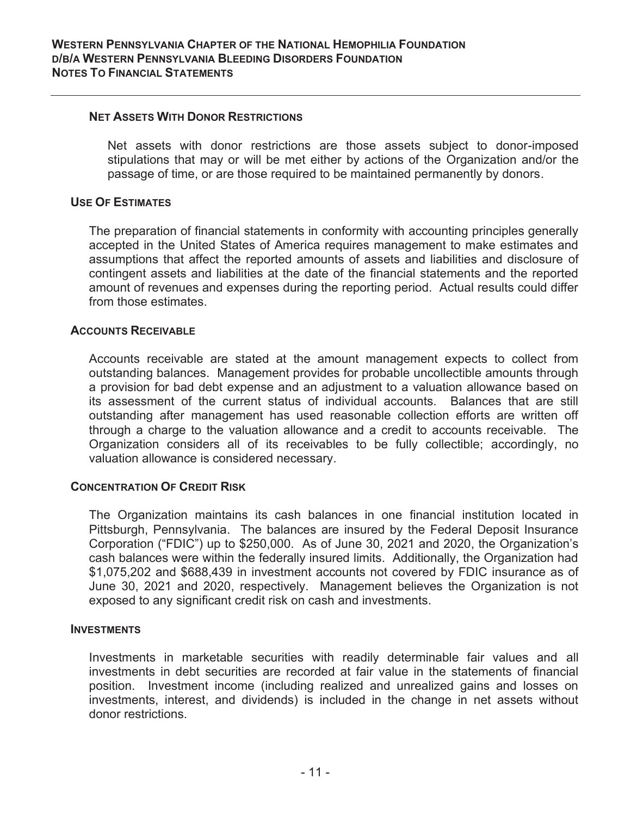#### **NET ASSETS WITH DONOR RESTRICTIONS**

Net assets with donor restrictions are those assets subject to donor-imposed stipulations that may or will be met either by actions of the Organization and/or the passage of time, or are those required to be maintained permanently by donors.

### **USE OF ESTIMATES**

The preparation of financial statements in conformity with accounting principles generally accepted in the United States of America requires management to make estimates and assumptions that affect the reported amounts of assets and liabilities and disclosure of contingent assets and liabilities at the date of the financial statements and the reported amount of revenues and expenses during the reporting period. Actual results could differ from those estimates.

#### **ACCOUNTS RECEIVABLE**

Accounts receivable are stated at the amount management expects to collect from outstanding balances. Management provides for probable uncollectible amounts through a provision for bad debt expense and an adjustment to a valuation allowance based on its assessment of the current status of individual accounts. Balances that are still outstanding after management has used reasonable collection efforts are written off through a charge to the valuation allowance and a credit to accounts receivable. The Organization considers all of its receivables to be fully collectible; accordingly, no valuation allowance is considered necessary.

### **CONCENTRATION OF CREDIT RISK**

The Organization maintains its cash balances in one financial institution located in Pittsburgh, Pennsylvania. The balances are insured by the Federal Deposit Insurance Corporation ("FDIC") up to \$250,000. As of June 30, 2021 and 2020, the Organization's cash balances were within the federally insured limits. Additionally, the Organization had \$1,075,202 and \$688,439 in investment accounts not covered by FDIC insurance as of June 30, 2021 and 2020, respectively. Management believes the Organization is not exposed to any significant credit risk on cash and investments.

#### **INVESTMENTS**

Investments in marketable securities with readily determinable fair values and all investments in debt securities are recorded at fair value in the statements of financial position. Investment income (including realized and unrealized gains and losses on investments, interest, and dividends) is included in the change in net assets without donor restrictions.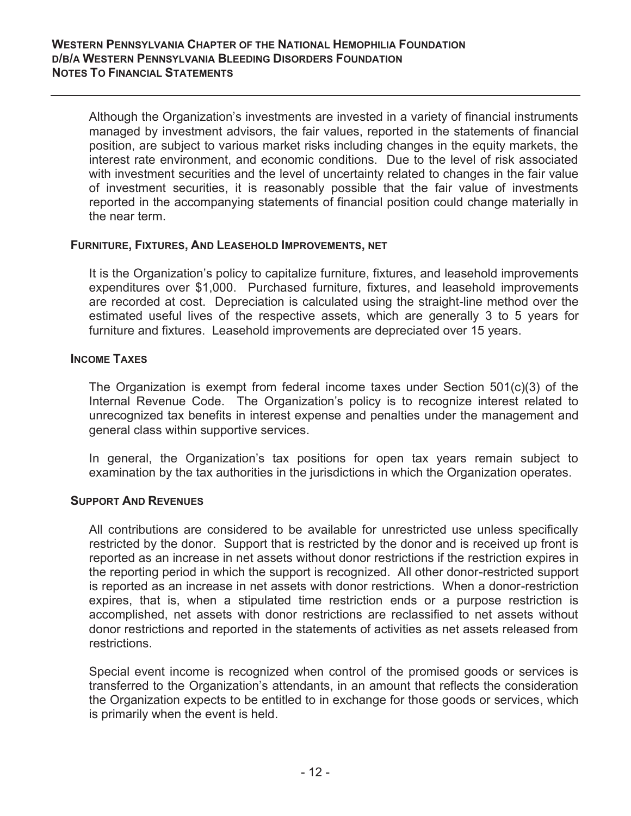Although the Organization's investments are invested in a variety of financial instruments managed by investment advisors, the fair values, reported in the statements of financial position, are subject to various market risks including changes in the equity markets, the interest rate environment, and economic conditions. Due to the level of risk associated with investment securities and the level of uncertainty related to changes in the fair value of investment securities, it is reasonably possible that the fair value of investments reported in the accompanying statements of financial position could change materially in the near term.

### **FURNITURE, FIXTURES, AND LEASEHOLD IMPROVEMENTS, NET**

It is the Organization's policy to capitalize furniture, fixtures, and leasehold improvements expenditures over \$1,000. Purchased furniture, fixtures, and leasehold improvements are recorded at cost. Depreciation is calculated using the straight-line method over the estimated useful lives of the respective assets, which are generally 3 to 5 years for furniture and fixtures. Leasehold improvements are depreciated over 15 years.

### **INCOME TAXES**

The Organization is exempt from federal income taxes under Section 501(c)(3) of the Internal Revenue Code. The Organization's policy is to recognize interest related to unrecognized tax benefits in interest expense and penalties under the management and general class within supportive services.

In general, the Organization's tax positions for open tax years remain subject to examination by the tax authorities in the jurisdictions in which the Organization operates.

### **SUPPORT AND REVENUES**

All contributions are considered to be available for unrestricted use unless specifically restricted by the donor. Support that is restricted by the donor and is received up front is reported as an increase in net assets without donor restrictions if the restriction expires in the reporting period in which the support is recognized. All other donor-restricted support is reported as an increase in net assets with donor restrictions. When a donor-restriction expires, that is, when a stipulated time restriction ends or a purpose restriction is accomplished, net assets with donor restrictions are reclassified to net assets without donor restrictions and reported in the statements of activities as net assets released from restrictions.

Special event income is recognized when control of the promised goods or services is transferred to the Organization's attendants, in an amount that reflects the consideration the Organization expects to be entitled to in exchange for those goods or services, which is primarily when the event is held.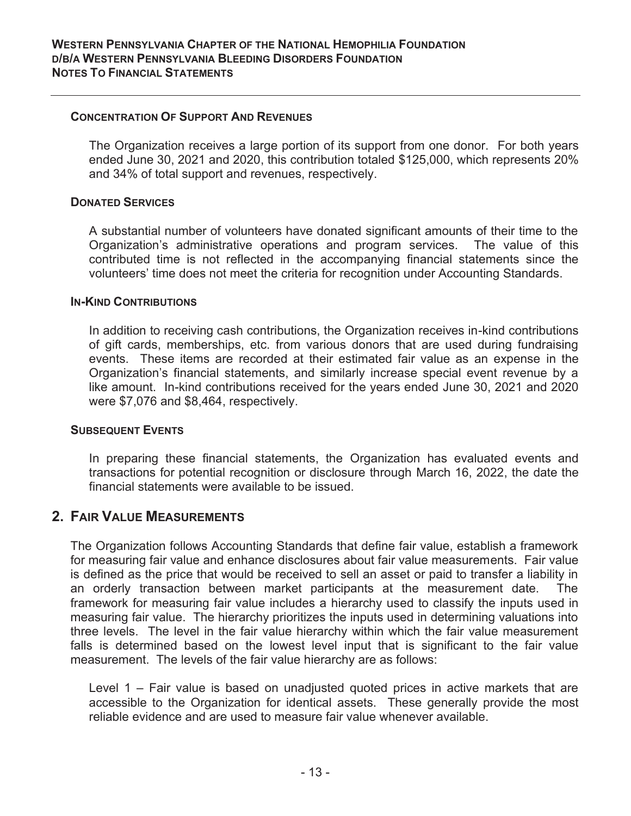#### **CONCENTRATION OF SUPPORT AND REVENUES**

The Organization receives a large portion of its support from one donor. For both years ended June 30, 2021 and 2020, this contribution totaled \$125,000, which represents 20% and 34% of total support and revenues, respectively.

#### **DONATED SERVICES**

A substantial number of volunteers have donated significant amounts of their time to the Organization's administrative operations and program services. The value of this contributed time is not reflected in the accompanying financial statements since the volunteers' time does not meet the criteria for recognition under Accounting Standards.

#### **IN-KIND CONTRIBUTIONS**

In addition to receiving cash contributions, the Organization receives in-kind contributions of gift cards, memberships, etc. from various donors that are used during fundraising events. These items are recorded at their estimated fair value as an expense in the Organization's financial statements, and similarly increase special event revenue by a like amount. In-kind contributions received for the years ended June 30, 2021 and 2020 were \$7,076 and \$8,464, respectively.

#### **SUBSEQUENT EVENTS**

In preparing these financial statements, the Organization has evaluated events and transactions for potential recognition or disclosure through March 16, 2022, the date the financial statements were available to be issued.

## **2. FAIR VALUE MEASUREMENTS**

The Organization follows Accounting Standards that define fair value, establish a framework for measuring fair value and enhance disclosures about fair value measurements. Fair value is defined as the price that would be received to sell an asset or paid to transfer a liability in an orderly transaction between market participants at the measurement date. The framework for measuring fair value includes a hierarchy used to classify the inputs used in measuring fair value. The hierarchy prioritizes the inputs used in determining valuations into three levels. The level in the fair value hierarchy within which the fair value measurement falls is determined based on the lowest level input that is significant to the fair value measurement. The levels of the fair value hierarchy are as follows:

Level 1 – Fair value is based on unadjusted quoted prices in active markets that are accessible to the Organization for identical assets. These generally provide the most reliable evidence and are used to measure fair value whenever available.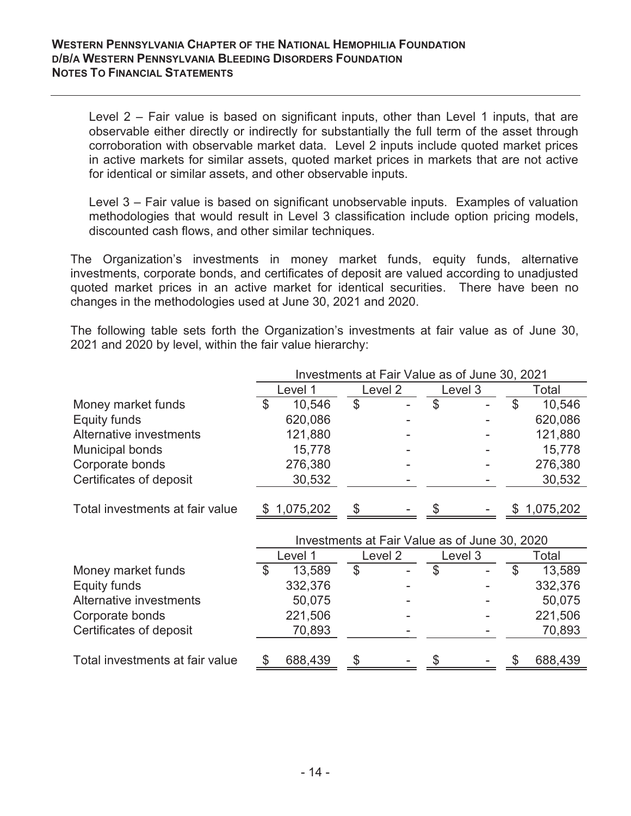Level 2 – Fair value is based on significant inputs, other than Level 1 inputs, that are observable either directly or indirectly for substantially the full term of the asset through corroboration with observable market data. Level 2 inputs include quoted market prices in active markets for similar assets, quoted market prices in markets that are not active for identical or similar assets, and other observable inputs.

Level 3 – Fair value is based on significant unobservable inputs. Examples of valuation methodologies that would result in Level 3 classification include option pricing models, discounted cash flows, and other similar techniques.

The Organization's investments in money market funds, equity funds, alternative investments, corporate bonds, and certificates of deposit are valued according to unadjusted quoted market prices in an active market for identical securities. There have been no changes in the methodologies used at June 30, 2021 and 2020.

The following table sets forth the Organization's investments at fair value as of June 30, 2021 and 2020 by level, within the fair value hierarchy:

|                                 |      | Investments at Fair Value as of June 30, 2021 |    |         |               |         |               |             |  |  |
|---------------------------------|------|-----------------------------------------------|----|---------|---------------|---------|---------------|-------------|--|--|
|                                 |      | Level 1                                       |    | Level 2 |               | Level 3 |               | Total       |  |  |
| Money market funds              | \$   | 10,546                                        | \$ |         | \$            |         | $\mathcal{L}$ | 10,546      |  |  |
| Equity funds                    |      | 620,086                                       |    |         |               |         |               | 620,086     |  |  |
| Alternative investments         |      | 121,880                                       |    |         |               |         |               | 121,880     |  |  |
| <b>Municipal bonds</b>          |      | 15,778                                        |    |         |               |         |               | 15,778      |  |  |
| Corporate bonds                 |      | 276,380                                       |    |         |               |         |               | 276,380     |  |  |
| Certificates of deposit         |      | 30,532                                        |    |         |               |         |               | 30,532      |  |  |
|                                 |      |                                               |    |         |               |         |               |             |  |  |
| Total investments at fair value | - 95 | 1,075,202                                     | \$ |         |               |         |               | \$1,075,202 |  |  |
|                                 |      |                                               |    |         |               |         |               |             |  |  |
|                                 |      | Investments at Fair Value as of June 30, 2020 |    |         |               |         |               |             |  |  |
|                                 |      | Level 1                                       |    | Level 2 | Level 3       |         |               | Total       |  |  |
| Money market funds              | \$   | 13,589                                        | \$ |         | $\mathcal{L}$ |         | \$            | 13,589      |  |  |
| Equity funds                    |      | 332,376                                       |    |         |               |         |               | 332,376     |  |  |
| Alternative investments         |      | 50,075                                        |    |         |               |         |               | 50,075      |  |  |
| Corporate bonds                 |      | 221,506                                       |    |         |               |         |               | 221,506     |  |  |

Certificates of deposit - 70,893 - 70,893

Total investments at fair value  $$688,439$   $$ $ $688,439$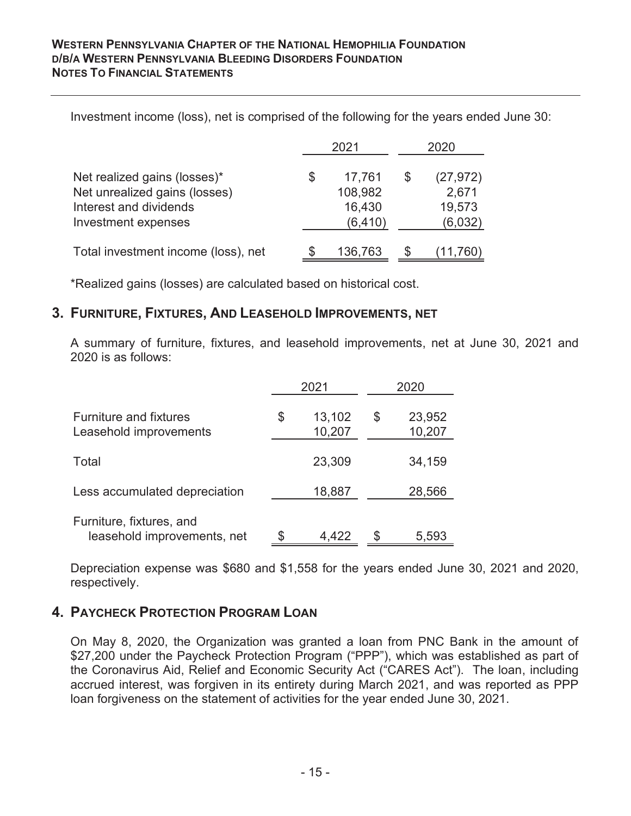Investment income (loss), net is comprised of the following for the years ended June 30:

|                                                                                                                | 2021                                         |     | 2020                                    |
|----------------------------------------------------------------------------------------------------------------|----------------------------------------------|-----|-----------------------------------------|
| Net realized gains (losses)*<br>Net unrealized gains (losses)<br>Interest and dividends<br>Investment expenses | \$<br>17,761<br>108,982<br>16,430<br>(6,410) | \$. | (27, 972)<br>2,671<br>19,573<br>(6,032) |
| Total investment income (loss), net                                                                            | 136,763                                      |     | 11.760                                  |

\*Realized gains (losses) are calculated based on historical cost.

## **3. FURNITURE, FIXTURES, AND LEASEHOLD IMPROVEMENTS, NET**

A summary of furniture, fixtures, and leasehold improvements, net at June 30, 2021 and 2020 is as follows:

|                                                         |    | 2021             |    | 2020             |
|---------------------------------------------------------|----|------------------|----|------------------|
| <b>Furniture and fixtures</b><br>Leasehold improvements | \$ | 13,102<br>10,207 | \$ | 23,952<br>10,207 |
| Total                                                   |    | 23,309           |    | 34,159           |
| Less accumulated depreciation                           |    | 18,887           |    | 28,566           |
| Furniture, fixtures, and<br>leasehold improvements, net | S  | 4,422            | S  | 5,593            |

Depreciation expense was \$680 and \$1,558 for the years ended June 30, 2021 and 2020, respectively.

# **4. PAYCHECK PROTECTION PROGRAM LOAN**

On May 8, 2020, the Organization was granted a loan from PNC Bank in the amount of \$27,200 under the Paycheck Protection Program ("PPP"), which was established as part of the Coronavirus Aid, Relief and Economic Security Act ("CARES Act"). The loan, including accrued interest, was forgiven in its entirety during March 2021, and was reported as PPP loan forgiveness on the statement of activities for the year ended June 30, 2021.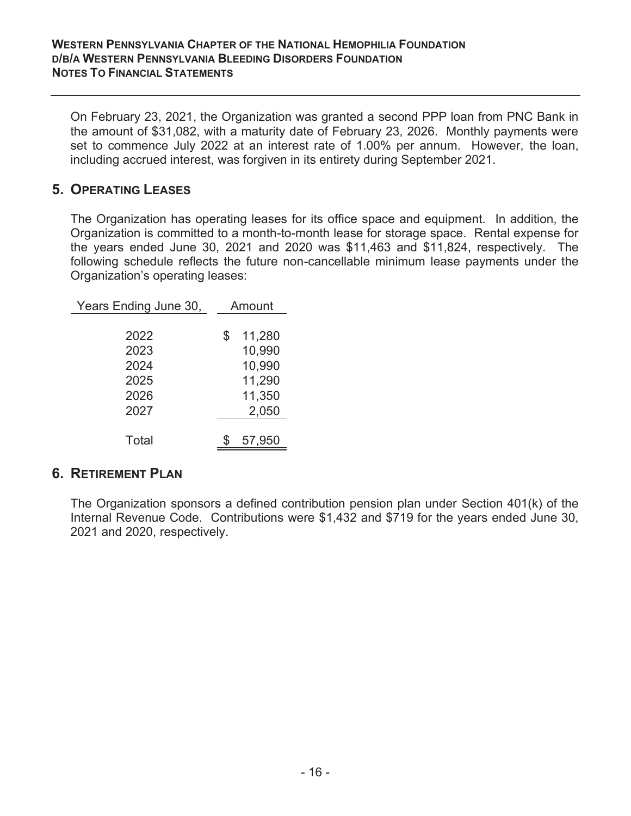On February 23, 2021, the Organization was granted a second PPP loan from PNC Bank in the amount of \$31,082, with a maturity date of February 23, 2026. Monthly payments were set to commence July 2022 at an interest rate of 1.00% per annum. However, the loan, including accrued interest, was forgiven in its entirety during September 2021.

# **5. OPERATING LEASES**

The Organization has operating leases for its office space and equipment. In addition, the Organization is committed to a month-to-month lease for storage space. Rental expense for the years ended June 30, 2021 and 2020 was \$11,463 and \$11,824, respectively. The following schedule reflects the future non-cancellable minimum lease payments under the Organization's operating leases:

| Years Ending June 30, | Amount       |
|-----------------------|--------------|
|                       |              |
| 2022                  | \$<br>11,280 |
| 2023                  | 10,990       |
| 2024                  | 10,990       |
| 2025                  | 11,290       |
| 2026                  | 11,350       |
| 2027                  | 2,050        |
|                       |              |
| Total                 | 57,950       |
|                       |              |

## **6. RETIREMENT PLAN**

The Organization sponsors a defined contribution pension plan under Section 401(k) of the Internal Revenue Code. Contributions were \$1,432 and \$719 for the years ended June 30, 2021 and 2020, respectively.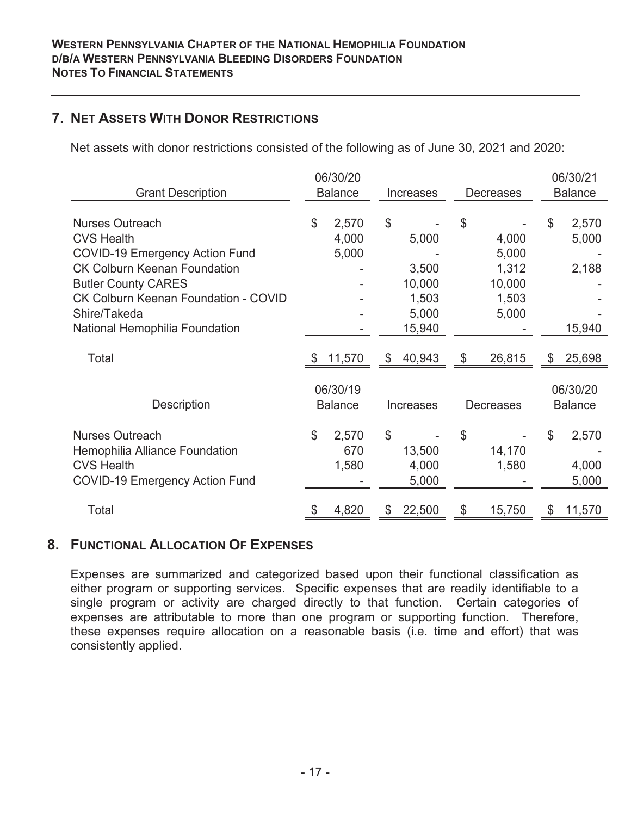# **7. NET ASSETS WITH DONOR RESTRICTIONS**

Net assets with donor restrictions consisted of the following as of June 30, 2021 and 2020:

| <b>Grant Description</b>                    |               | 06/30/20<br><b>Balance</b> |               | Increases | <b>Decreases</b> | 06/30/21<br><b>Balance</b> |
|---------------------------------------------|---------------|----------------------------|---------------|-----------|------------------|----------------------------|
|                                             |               |                            |               |           |                  |                            |
| <b>Nurses Outreach</b>                      | $\mathcal{L}$ | 2,570                      | $\$\$         |           | \$               | \$<br>2,570                |
| <b>CVS Health</b>                           |               | 4,000                      |               | 5,000     | 4,000            | 5,000                      |
| <b>COVID-19 Emergency Action Fund</b>       |               | 5,000                      |               |           | 5,000            |                            |
| <b>CK Colburn Keenan Foundation</b>         |               |                            |               | 3,500     | 1,312            | 2,188                      |
| <b>Butler County CARES</b>                  |               |                            |               | 10,000    | 10,000           |                            |
| <b>CK Colburn Keenan Foundation - COVID</b> |               |                            |               | 1,503     | 1,503            |                            |
| Shire/Takeda                                |               |                            |               | 5,000     | 5,000            |                            |
| National Hemophilia Foundation              |               |                            |               | 15,940    |                  | 15,940                     |
|                                             |               |                            |               |           |                  |                            |
| Total                                       | -22           | 11,570                     | $\mathcal{L}$ | 40,943    | \$<br>26,815     | \$<br>25,698               |
|                                             |               |                            |               |           |                  |                            |
|                                             |               | 06/30/19                   |               |           |                  | 06/30/20                   |
| Description                                 |               | <b>Balance</b>             |               | Increases | <b>Decreases</b> | <b>Balance</b>             |
|                                             |               |                            |               |           |                  |                            |
| <b>Nurses Outreach</b>                      | \$            | 2,570                      | \$            |           | \$               | \$<br>2,570                |
| Hemophilia Alliance Foundation              |               | 670                        |               | 13,500    | 14,170           |                            |
| <b>CVS Health</b>                           |               | 1,580                      |               | 4,000     | 1,580            | 4,000                      |
| <b>COVID-19 Emergency Action Fund</b>       |               |                            |               | 5,000     |                  | 5,000                      |
|                                             |               |                            |               |           |                  |                            |
| Total                                       |               | 4,820                      |               | 22,500    | 15,750           | 11,570                     |

## **8. FUNCTIONAL ALLOCATION OF EXPENSES**

Expenses are summarized and categorized based upon their functional classification as either program or supporting services. Specific expenses that are readily identifiable to a single program or activity are charged directly to that function. Certain categories of expenses are attributable to more than one program or supporting function. Therefore, these expenses require allocation on a reasonable basis (i.e. time and effort) that was consistently applied.